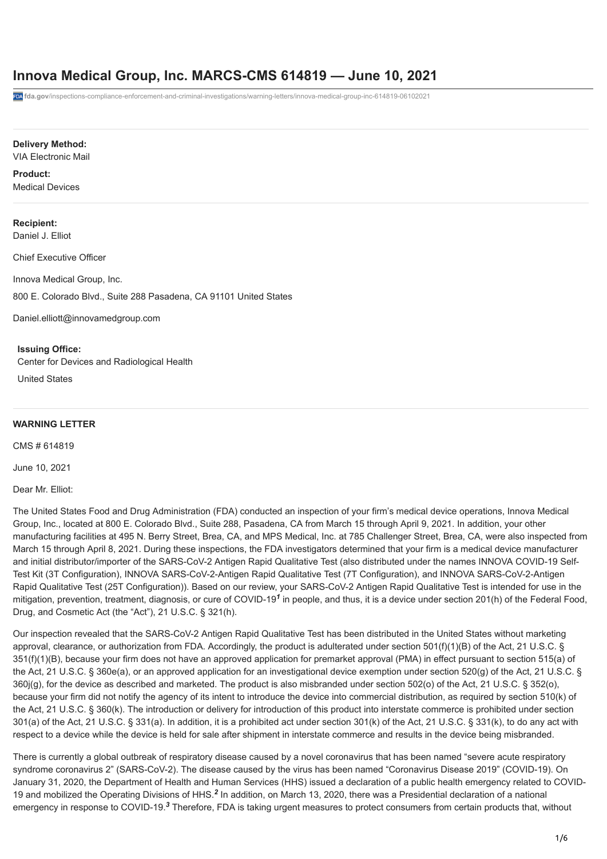## **Innova Medical Group, Inc. MARCS-CMS 614819 — June 10, 2021**

**fda.gov**[/inspections-compliance-enforcement-and-criminal-investigations/warning-letters/innova-medical-group-inc-614819-06102021](https://www.fda.gov/inspections-compliance-enforcement-and-criminal-investigations/warning-letters/innova-medical-group-inc-614819-06102021)

#### **Delivery Method:**

#### VIA Electronic Mail

## **Product:**

Medical Devices

## **Recipient:**

Daniel J. Elliot

Chief Executive Officer

Innova Medical Group, Inc.

800 E. Colorado Blvd., Suite 288 Pasadena, CA 91101 United States

[Daniel.elliott@innovamedgroup.com](mailto:Daniel.elliott@innovamedgroup.com)

#### **Issuing Office:**

Center for Devices and Radiological Health

United States

#### **WARNING LETTER**

CMS # 614819

June 10, 2021

Dear Mr. Elliot:

The United States Food and Drug Administration (FDA) conducted an inspection of your firm's medical device operations, Innova Medical Group, Inc., located at 800 E. Colorado Blvd., Suite 288, Pasadena, CA from March 15 through April 9, 2021. In addition, your other manufacturing facilities at 495 N. Berry Street, Brea, CA, and MPS Medical, Inc. at 785 Challenger Street, Brea, CA, were also inspected from March 15 through April 8, 2021. During these inspections, the FDA investigators determined that your firm is a medical device manufacturer and initial distributor/importer of the SARS-CoV-2 Antigen Rapid Qualitative Test (also distributed under the names INNOVA COVID-19 Self-Test Kit (3T Configuration), INNOVA SARS-CoV-2-Antigen Rapid Qualitative Test (7T Configuration), and INNOVA SARS-CoV-2-Antigen Rapid Qualitative Test (25T Configuration)). Based on our review, your SARS-CoV-2 Antigen Rapid Qualitative Test is intended for use in the mitigation, prevention, treatment, diagnosis, or cure of COVID-19<sup>1</sup> in people, and thus, it is a device under section 201(h) of the Federal Food, Drug, and Cosmetic Act (the "Act"), 21 U.S.C. § 321(h).

Our inspection revealed that the SARS-CoV-2 Antigen Rapid Qualitative Test has been distributed in the United States without marketing approval, clearance, or authorization from FDA. Accordingly, the product is adulterated under section 501(f)(1)(B) of the Act, 21 U.S.C. § 351(f)(1)(B), because your firm does not have an approved application for premarket approval (PMA) in effect pursuant to section 515(a) of the Act, 21 U.S.C. § 360e(a), or an approved application for an investigational device exemption under section 520(g) of the Act, 21 U.S.C. § 360j(g), for the device as described and marketed. The product is also misbranded under section 502(o) of the Act, 21 U.S.C. § 352(o), because your firm did not notify the agency of its intent to introduce the device into commercial distribution, as required by section 510(k) of the Act, 21 U.S.C. § 360(k). The introduction or delivery for introduction of this product into interstate commerce is prohibited under section 301(a) of the Act, 21 U.S.C. § 331(a). In addition, it is a prohibited act under section 301(k) of the Act, 21 U.S.C. § 331(k), to do any act with respect to a device while the device is held for sale after shipment in interstate commerce and results in the device being misbranded.

There is currently a global outbreak of respiratory disease caused by a novel coronavirus that has been named "severe acute respiratory syndrome coronavirus 2" (SARS-CoV-2). The disease caused by the virus has been named "Coronavirus Disease 2019" (COVID-19). On January 31, 2020, the Department of Health and Human Services (HHS) issued a declaration of a public health emergency related to COVID-19 and mobilized the Operating Divisions of HHS.<sup>2</sup> In addition, on March 13, 2020, there was a Presidential declaration of a national emergency in response to COVID-19.<sup>3</sup> Therefore, FDA is taking urgent measures to protect consumers from certain products that, without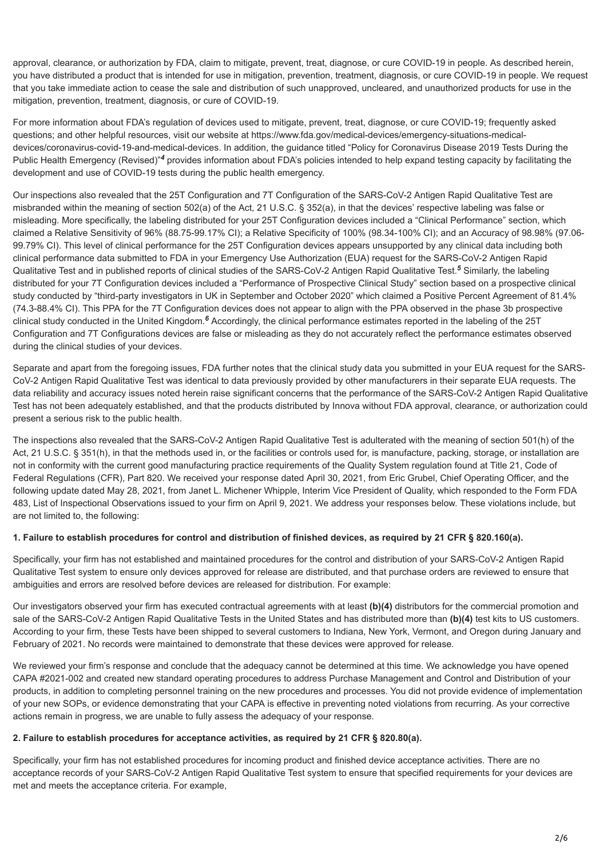approval, clearance, or authorization by FDA, claim to mitigate, prevent, treat, diagnose, or cure COVID-19 in people. As described herein, you have distributed a product that is intended for use in mitigation, prevention, treatment, diagnosis, or cure COVID-19 in people. We request that you take immediate action to cease the sale and distribution of such unapproved, uncleared, and unauthorized products for use in the mitigation, prevention, treatment, diagnosis, or cure of COVID-19.

For more information about FDA's regulation of devices used to mitigate, prevent, treat, diagnose, or cure COVID-19; frequently asked [questions; and other helpful resources, visit our website at https://www.fda.gov/medical-devices/emergency-situations-medical](https://www.fda.gov/medical-devices/emergency-situations-medical-devices/coronavirus-covid-19-and-medical-devices)devices/coronavirus-covid-19-and-medical-devices. In addition, the guidance titled "Policy for Coronavirus Disease 2019 Tests During the Public Health Emergency (Revised)<sup>"4</sup> provides information about FDA's policies intended to help expand testing capacity by facilitating the development and use of COVID-19 tests during the public health emergency.

Our inspections also revealed that the 25T Configuration and 7T Configuration of the SARS-CoV-2 Antigen Rapid Qualitative Test are misbranded within the meaning of section 502(a) of the Act, 21 U.S.C. § 352(a), in that the devices' respective labeling was false or misleading. More specifically, the labeling distributed for your 25T Configuration devices included a "Clinical Performance" section, which claimed a Relative Sensitivity of 96% (88.75-99.17% CI); a Relative Specificity of 100% (98.34-100% CI); and an Accuracy of 98.98% (97.06- 99.79% CI). This level of clinical performance for the 25T Configuration devices appears unsupported by any clinical data including both clinical performance data submitted to FDA in your Emergency Use Authorization (EUA) request for the SARS-CoV-2 Antigen Rapid Qualitative Test and in published reports of clinical studies of the SARS-CoV-2 Antigen Rapid Qualitative Test.<sup>5</sup> Similarly, the labeling distributed for your 7T Configuration devices included a "Performance of Prospective Clinical Study" section based on a prospective clinical study conducted by "third-party investigators in UK in September and October 2020" which claimed a Positive Percent Agreement of 81.4% (74.3-88.4% CI). This PPA for the 7T Configuration devices does not appear to align with the PPA observed in the phase 3b prospective clinical study conducted in the United Kingdom.<sup>6</sup> Accordingly, the clinical performance estimates reported in the labeling of the 25T Configuration and 7T Configurations devices are false or misleading as they do not accurately reflect the performance estimates observed during the clinical studies of your devices.

Separate and apart from the foregoing issues, FDA further notes that the clinical study data you submitted in your EUA request for the SARS-CoV-2 Antigen Rapid Qualitative Test was identical to data previously provided by other manufacturers in their separate EUA requests. The data reliability and accuracy issues noted herein raise significant concerns that the performance of the SARS-CoV-2 Antigen Rapid Qualitative Test has not been adequately established, and that the products distributed by Innova without FDA approval, clearance, or authorization could present a serious risk to the public health.

The inspections also revealed that the SARS-CoV-2 Antigen Rapid Qualitative Test is adulterated with the meaning of section 501(h) of the Act, 21 U.S.C. § 351(h), in that the methods used in, or the facilities or controls used for, is manufacture, packing, storage, or installation are not in conformity with the current good manufacturing practice requirements of the Quality System regulation found at Title 21, Code of Federal Regulations (CFR), Part 820. We received your response dated April 30, 2021, from Eric Grubel, Chief Operating Officer, and the following update dated May 28, 2021, from Janet L. Michener Whipple, Interim Vice President of Quality, which responded to the Form FDA 483, List of Inspectional Observations issued to your firm on April 9, 2021. We address your responses below. These violations include, but are not limited to, the following:

#### **1. Failure to establish procedures for control and distribution of finished devices, as required by 21 CFR § 820.160(a).**

Specifically, your firm has not established and maintained procedures for the control and distribution of your SARS-CoV-2 Antigen Rapid Qualitative Test system to ensure only devices approved for release are distributed, and that purchase orders are reviewed to ensure that ambiguities and errors are resolved before devices are released for distribution. For example:

Our investigators observed your firm has executed contractual agreements with at least **(b)(4)** distributors for the commercial promotion and sale of the SARS-CoV-2 Antigen Rapid Qualitative Tests in the United States and has distributed more than **(b)(4)** test kits to US customers. According to your firm, these Tests have been shipped to several customers to Indiana, New York, Vermont, and Oregon during January and February of 2021. No records were maintained to demonstrate that these devices were approved for release.

We reviewed your firm's response and conclude that the adequacy cannot be determined at this time. We acknowledge you have opened CAPA #2021-002 and created new standard operating procedures to address Purchase Management and Control and Distribution of your products, in addition to completing personnel training on the new procedures and processes. You did not provide evidence of implementation of your new SOPs, or evidence demonstrating that your CAPA is effective in preventing noted violations from recurring. As your corrective actions remain in progress, we are unable to fully assess the adequacy of your response.

#### **2. Failure to establish procedures for acceptance activities, as required by 21 CFR § 820.80(a).**

Specifically, your firm has not established procedures for incoming product and finished device acceptance activities. There are no acceptance records of your SARS-CoV-2 Antigen Rapid Qualitative Test system to ensure that specified requirements for your devices are met and meets the acceptance criteria. For example,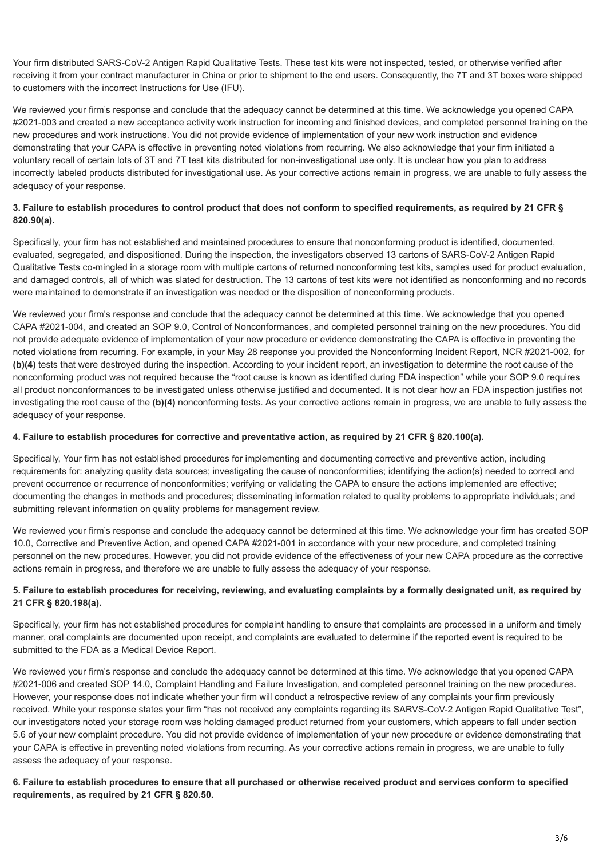Your firm distributed SARS-CoV-2 Antigen Rapid Qualitative Tests. These test kits were not inspected, tested, or otherwise verified after receiving it from your contract manufacturer in China or prior to shipment to the end users. Consequently, the 7T and 3T boxes were shipped to customers with the incorrect Instructions for Use (IFU).

We reviewed your firm's response and conclude that the adequacy cannot be determined at this time. We acknowledge you opened CAPA #2021-003 and created a new acceptance activity work instruction for incoming and finished devices, and completed personnel training on the new procedures and work instructions. You did not provide evidence of implementation of your new work instruction and evidence demonstrating that your CAPA is effective in preventing noted violations from recurring. We also acknowledge that your firm initiated a voluntary recall of certain lots of 3T and 7T test kits distributed for non-investigational use only. It is unclear how you plan to address incorrectly labeled products distributed for investigational use. As your corrective actions remain in progress, we are unable to fully assess the adequacy of your response.

## **3. Failure to establish procedures to control product that does not conform to specified requirements, as required by 21 CFR § 820.90(a).**

Specifically, your firm has not established and maintained procedures to ensure that nonconforming product is identified, documented, evaluated, segregated, and dispositioned. During the inspection, the investigators observed 13 cartons of SARS-CoV-2 Antigen Rapid Qualitative Tests co-mingled in a storage room with multiple cartons of returned nonconforming test kits, samples used for product evaluation, and damaged controls, all of which was slated for destruction. The 13 cartons of test kits were not identified as nonconforming and no records were maintained to demonstrate if an investigation was needed or the disposition of nonconforming products.

We reviewed your firm's response and conclude that the adequacy cannot be determined at this time. We acknowledge that you opened CAPA #2021-004, and created an SOP 9.0, Control of Nonconformances, and completed personnel training on the new procedures. You did not provide adequate evidence of implementation of your new procedure or evidence demonstrating the CAPA is effective in preventing the noted violations from recurring. For example, in your May 28 response you provided the Nonconforming Incident Report, NCR #2021-002, for **(b)(4)** tests that were destroyed during the inspection. According to your incident report, an investigation to determine the root cause of the nonconforming product was not required because the "root cause is known as identified during FDA inspection" while your SOP 9.0 requires all product nonconformances to be investigated unless otherwise justified and documented. It is not clear how an FDA inspection justifies not investigating the root cause of the **(b)(4)** nonconforming tests. As your corrective actions remain in progress, we are unable to fully assess the adequacy of your response.

#### **4. Failure to establish procedures for corrective and preventative action, as required by 21 CFR § 820.100(a).**

Specifically, Your firm has not established procedures for implementing and documenting corrective and preventive action, including requirements for: analyzing quality data sources; investigating the cause of nonconformities; identifying the action(s) needed to correct and prevent occurrence or recurrence of nonconformities; verifying or validating the CAPA to ensure the actions implemented are effective; documenting the changes in methods and procedures; disseminating information related to quality problems to appropriate individuals; and submitting relevant information on quality problems for management review.

We reviewed your firm's response and conclude the adequacy cannot be determined at this time. We acknowledge your firm has created SOP 10.0, Corrective and Preventive Action, and opened CAPA #2021-001 in accordance with your new procedure, and completed training personnel on the new procedures. However, you did not provide evidence of the effectiveness of your new CAPA procedure as the corrective actions remain in progress, and therefore we are unable to fully assess the adequacy of your response.

## **5. Failure to establish procedures for receiving, reviewing, and evaluating complaints by a formally designated unit, as required by 21 CFR § 820.198(a).**

Specifically, your firm has not established procedures for complaint handling to ensure that complaints are processed in a uniform and timely manner, oral complaints are documented upon receipt, and complaints are evaluated to determine if the reported event is required to be submitted to the FDA as a Medical Device Report.

We reviewed your firm's response and conclude the adequacy cannot be determined at this time. We acknowledge that you opened CAPA #2021-006 and created SOP 14.0, Complaint Handling and Failure Investigation, and completed personnel training on the new procedures. However, your response does not indicate whether your firm will conduct a retrospective review of any complaints your firm previously received. While your response states your firm "has not received any complaints regarding its SARVS-CoV-2 Antigen Rapid Qualitative Test", our investigators noted your storage room was holding damaged product returned from your customers, which appears to fall under section 5.6 of your new complaint procedure. You did not provide evidence of implementation of your new procedure or evidence demonstrating that your CAPA is effective in preventing noted violations from recurring. As your corrective actions remain in progress, we are unable to fully assess the adequacy of your response.

### **6. Failure to establish procedures to ensure that all purchased or otherwise received product and services conform to specified requirements, as required by 21 CFR § 820.50.**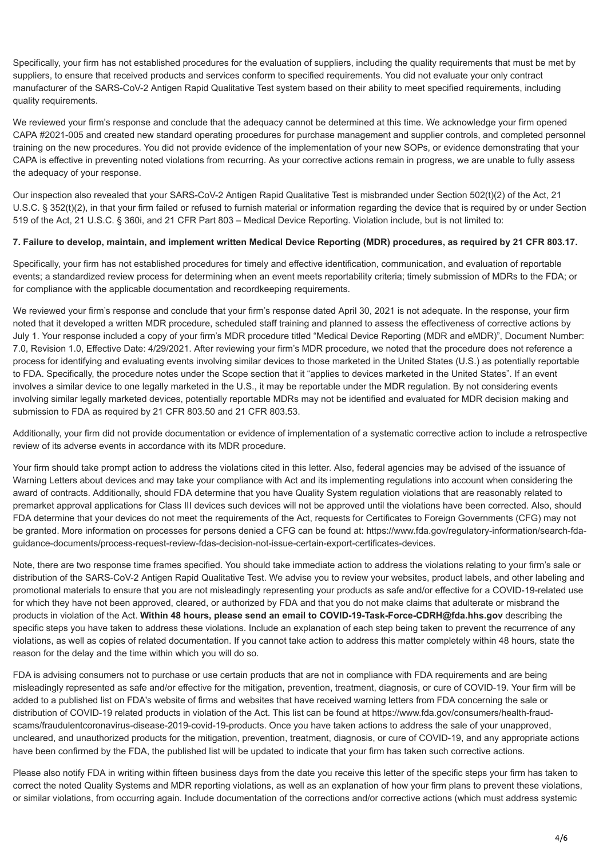Specifically, your firm has not established procedures for the evaluation of suppliers, including the quality requirements that must be met by suppliers, to ensure that received products and services conform to specified requirements. You did not evaluate your only contract manufacturer of the SARS-CoV-2 Antigen Rapid Qualitative Test system based on their ability to meet specified requirements, including quality requirements.

We reviewed your firm's response and conclude that the adequacy cannot be determined at this time. We acknowledge your firm opened CAPA #2021-005 and created new standard operating procedures for purchase management and supplier controls, and completed personnel training on the new procedures. You did not provide evidence of the implementation of your new SOPs, or evidence demonstrating that your CAPA is effective in preventing noted violations from recurring. As your corrective actions remain in progress, we are unable to fully assess the adequacy of your response.

Our inspection also revealed that your SARS-CoV-2 Antigen Rapid Qualitative Test is misbranded under Section 502(t)(2) of the Act, 21 U.S.C. § 352(t)(2), in that your firm failed or refused to furnish material or information regarding the device that is required by or under Section 519 of the Act, 21 U.S.C. § 360i, and 21 CFR Part 803 – Medical Device Reporting. Violation include, but is not limited to:

### **7. Failure to develop, maintain, and implement written Medical Device Reporting (MDR) procedures, as required by 21 CFR 803.17.**

Specifically, your firm has not established procedures for timely and effective identification, communication, and evaluation of reportable events; a standardized review process for determining when an event meets reportability criteria; timely submission of MDRs to the FDA; or for compliance with the applicable documentation and recordkeeping requirements.

We reviewed your firm's response and conclude that your firm's response dated April 30, 2021 is not adequate. In the response, your firm noted that it developed a written MDR procedure, scheduled staff training and planned to assess the effectiveness of corrective actions by July 1. Your response included a copy of your firm's MDR procedure titled "Medical Device Reporting (MDR and eMDR)", Document Number: 7.0, Revision 1.0, Effective Date: 4/29/2021. After reviewing your firm's MDR procedure, we noted that the procedure does not reference a process for identifying and evaluating events involving similar devices to those marketed in the United States (U.S.) as potentially reportable to FDA. Specifically, the procedure notes under the Scope section that it "applies to devices marketed in the United States". If an event involves a similar device to one legally marketed in the U.S., it may be reportable under the MDR regulation. By not considering events involving similar legally marketed devices, potentially reportable MDRs may not be identified and evaluated for MDR decision making and submission to FDA as required by 21 CFR 803.50 and 21 CFR 803.53.

Additionally, your firm did not provide documentation or evidence of implementation of a systematic corrective action to include a retrospective review of its adverse events in accordance with its MDR procedure.

Your firm should take prompt action to address the violations cited in this letter. Also, federal agencies may be advised of the issuance of Warning Letters about devices and may take your compliance with Act and its implementing regulations into account when considering the award of contracts. Additionally, should FDA determine that you have Quality System regulation violations that are reasonably related to premarket approval applications for Class III devices such devices will not be approved until the violations have been corrected. Also, should FDA determine that your devices do not meet the requirements of the Act, requests for Certificates to Foreign Governments (CFG) may not [be granted. More information on processes for persons denied a CFG can be found at: https://www.fda.gov/regulatory-information/search-fda](https://www.fda.gov/regulatory-information/search-fda-guidance-documents/process-request-review-fdas-decision-not-issue-certain-export-certificates-devices)guidance-documents/process-request-review-fdas-decision-not-issue-certain-export-certificates-devices.

Note, there are two response time frames specified. You should take immediate action to address the violations relating to your firm's sale or distribution of the SARS-CoV-2 Antigen Rapid Qualitative Test. We advise you to review your websites, product labels, and other labeling and promotional materials to ensure that you are not misleadingly representing your products as safe and/or effective for a COVID-19-related use for which they have not been approved, cleared, or authorized by FDA and that you do not make claims that adulterate or misbrand the products in violation of the Act. **Within 48 hours, please send an email to COVID-19-Task-Force-CDRH@fda.hhs.gov** describing the specific steps you have taken to address these violations. Include an explanation of each step being taken to prevent the recurrence of any violations, as well as copies of related documentation. If you cannot take action to address this matter completely within 48 hours, state the reason for the delay and the time within which you will do so.

FDA is advising consumers not to purchase or use certain products that are not in compliance with FDA requirements and are being misleadingly represented as safe and/or effective for the mitigation, prevention, treatment, diagnosis, or cure of COVID-19. Your firm will be added to a published list on FDA's website of firms and websites that have received warning letters from FDA concerning the sale or [distribution of COVID-19 related products in violation of the Act. This list can be found at https://www.fda.gov/consumers/health-fraud](https://www.fda.gov/consumers/health-fraud-scams/fraudulentcoronavirus-disease-2019-covid-19-products)scams/fraudulentcoronavirus-disease-2019-covid-19-products. Once you have taken actions to address the sale of your unapproved, uncleared, and unauthorized products for the mitigation, prevention, treatment, diagnosis, or cure of COVID-19, and any appropriate actions have been confirmed by the FDA, the published list will be updated to indicate that your firm has taken such corrective actions.

Please also notify FDA in writing within fifteen business days from the date you receive this letter of the specific steps your firm has taken to correct the noted Quality Systems and MDR reporting violations, as well as an explanation of how your firm plans to prevent these violations, or similar violations, from occurring again. Include documentation of the corrections and/or corrective actions (which must address systemic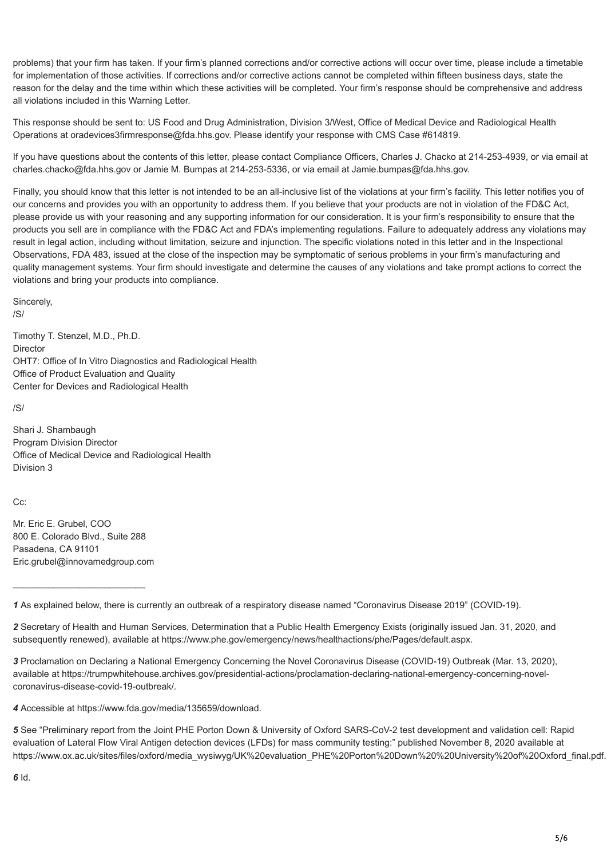problems) that your firm has taken. If your firm's planned corrections and/or corrective actions will occur over time, please include a timetable for implementation of those activities. If corrections and/or corrective actions cannot be completed within fifteen business days, state the reason for the delay and the time within which these activities will be completed. Your firm's response should be comprehensive and address all violations included in this Warning Letter.

This response should be sent to: US Food and Drug Administration, Division 3/West, Office of Medical Device and Radiological Health Operations at oradevices3firmresponse@fda.hhs.gov. Please identify your response with CMS Case #614819.

If you have questions about the contents of this letter, please contact Compliance Officers, Charles J. Chacko at 214-253-4939, or via email at charles.chacko@fda.hhs.gov or Jamie M. Bumpas at 214-253-5336, or via email at Jamie.bumpas@fda.hhs.gov.

Finally, you should know that this letter is not intended to be an all-inclusive list of the violations at your firm's facility. This letter notifies you of our concerns and provides you with an opportunity to address them. If you believe that your products are not in violation of the FD&C Act, please provide us with your reasoning and any supporting information for our consideration. It is your firm's responsibility to ensure that the products you sell are in compliance with the FD&C Act and FDA's implementing regulations. Failure to adequately address any violations may result in legal action, including without limitation, seizure and injunction. The specific violations noted in this letter and in the Inspectional Observations, FDA 483, issued at the close of the inspection may be symptomatic of serious problems in your firm's manufacturing and quality management systems. Your firm should investigate and determine the causes of any violations and take prompt actions to correct the violations and bring your products into compliance.

Sincerely, /S/

Timothy T. Stenzel, M.D., Ph.D. Director OHT7: Office of In Vitro Diagnostics and Radiological Health Office of Product Evaluation and Quality Center for Devices and Radiological Health

/S/

Shari J. Shambaugh Program Division Director Office of Medical Device and Radiological Health Division 3

Cc:

Mr. Eric E. Grubel, COO 800 E. Colorado Blvd., Suite 288 Pasadena, CA 91101 Eric.grubel@innovamedgroup.com

\_\_\_\_\_\_\_\_\_\_\_\_\_\_\_\_\_\_\_\_\_\_\_\_\_\_

*3* Proclamation on Declaring a National Emergency Concerning the Novel Coronavirus Disease (COVID-19) Outbreak (Mar. 13, 2020), [available at https://trumpwhitehouse.archives.gov/presidential-actions/proclamation-declaring-national-emergency-concerning-novel](https://trumpwhitehouse.archives.gov/presidential-actions/proclamation-declaring-national-emergency-concerning-novel-coronavirus-disease-covid-19-outbreak/)coronavirus-disease-covid-19-outbreak/.

*4* Accessible at <https://www.fda.gov/media/135659/download>.

*5* See "Preliminary report from the Joint PHE Porton Down & University of Oxford SARS-CoV-2 test development and validation cell: Rapid evaluation of Lateral Flow Viral Antigen detection devices (LFDs) for mass community testing:" published November 8, 2020 available at https://www.ox.ac.uk/sites/files/oxford/media\_wysiwyg/UK%20evaluation\_PHE%20Porton%20Down%20%20University%20of%20Oxford\_final.pdf.

*<sup>1</sup>* As explained below, there is currently an outbreak of a respiratory disease named "Coronavirus Disease 2019" (COVID-19).

*<sup>2</sup>* Secretary of Health and Human Services, Determination that a Public Health Emergency Exists (originally issued Jan. 31, 2020, and subsequently renewed), available at<https://www.phe.gov/emergency/news/healthactions/phe/Pages/default.aspx>.